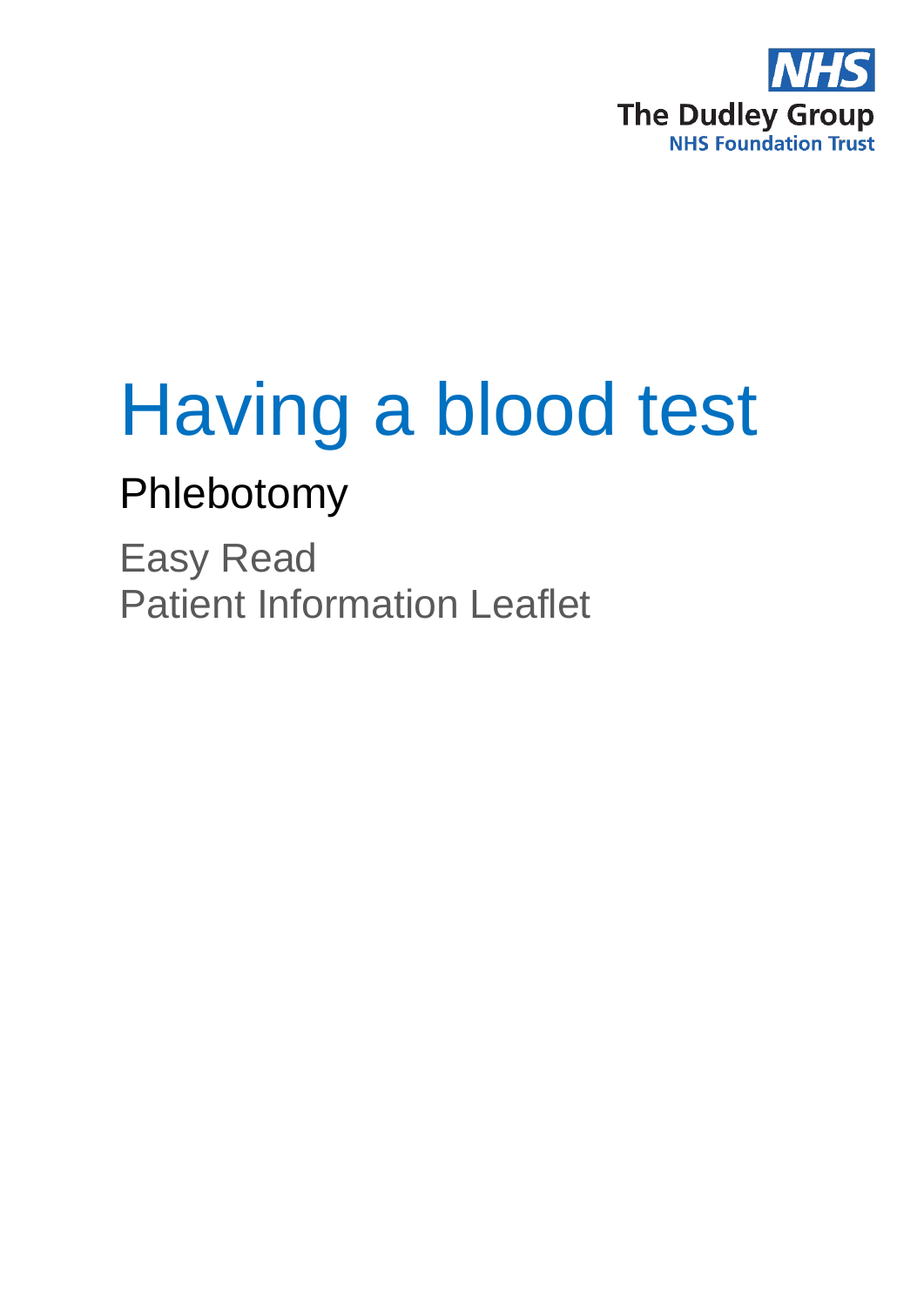

# Having a blood test

# Phlebotomy

Easy Read Patient Information Leaflet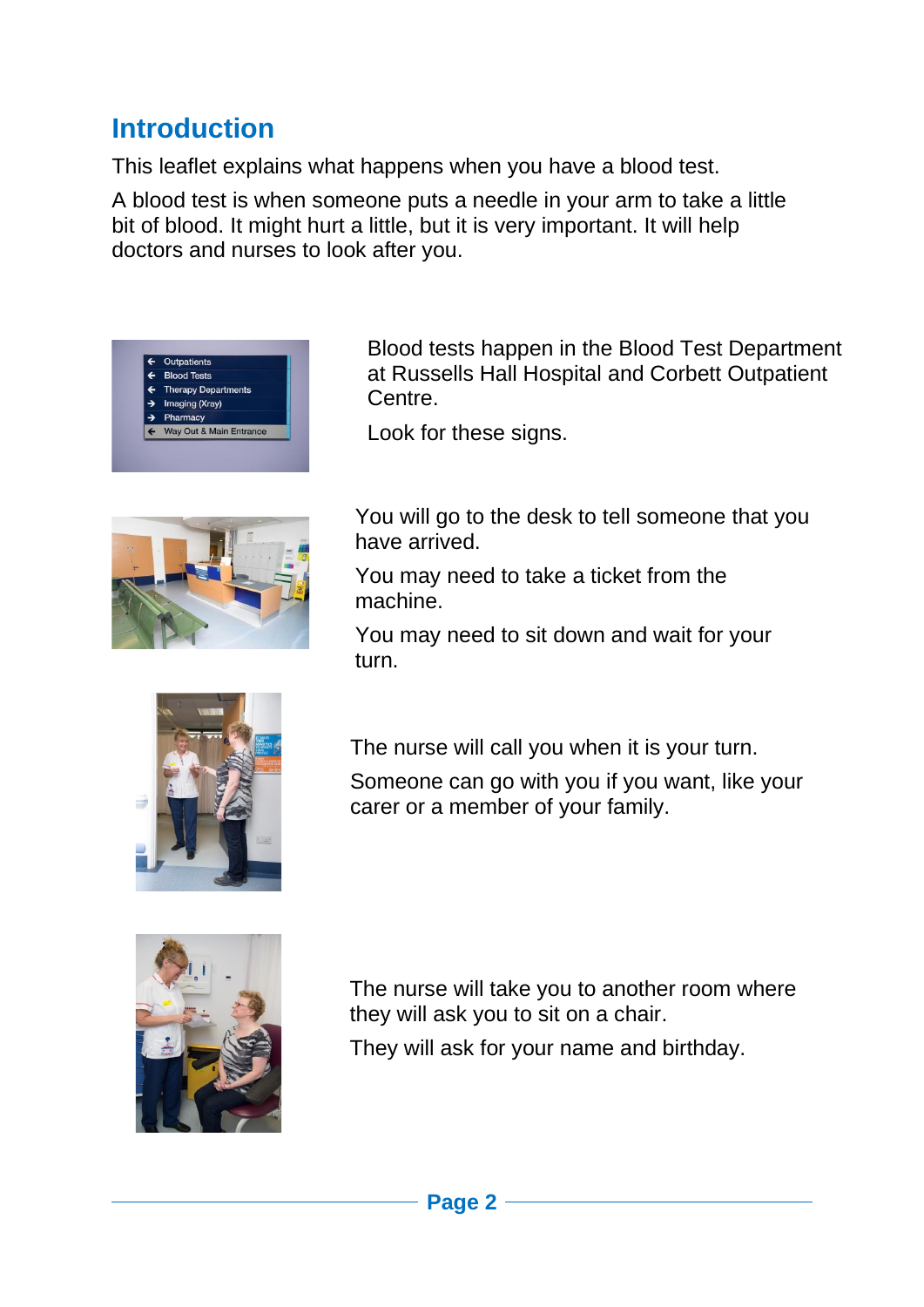## **Introduction**

This leaflet explains what happens when you have a blood test.

A blood test is when someone puts a needle in your arm to take a little bit of blood. It might hurt a little, but it is very important. It will help doctors and nurses to look after you.



Blood tests happen in the Blood Test Department at Russells Hall Hospital and Corbett Outpatient Centre.

Look for these signs.



You will go to the desk to tell someone that you have arrived.

You may need to take a ticket from the machine.

You may need to sit down and wait for your turn.



The nurse will call you when it is your turn.

Someone can go with you if you want, like your carer or a member of your family.



The nurse will take you to another room where they will ask you to sit on a chair.

They will ask for your name and birthday.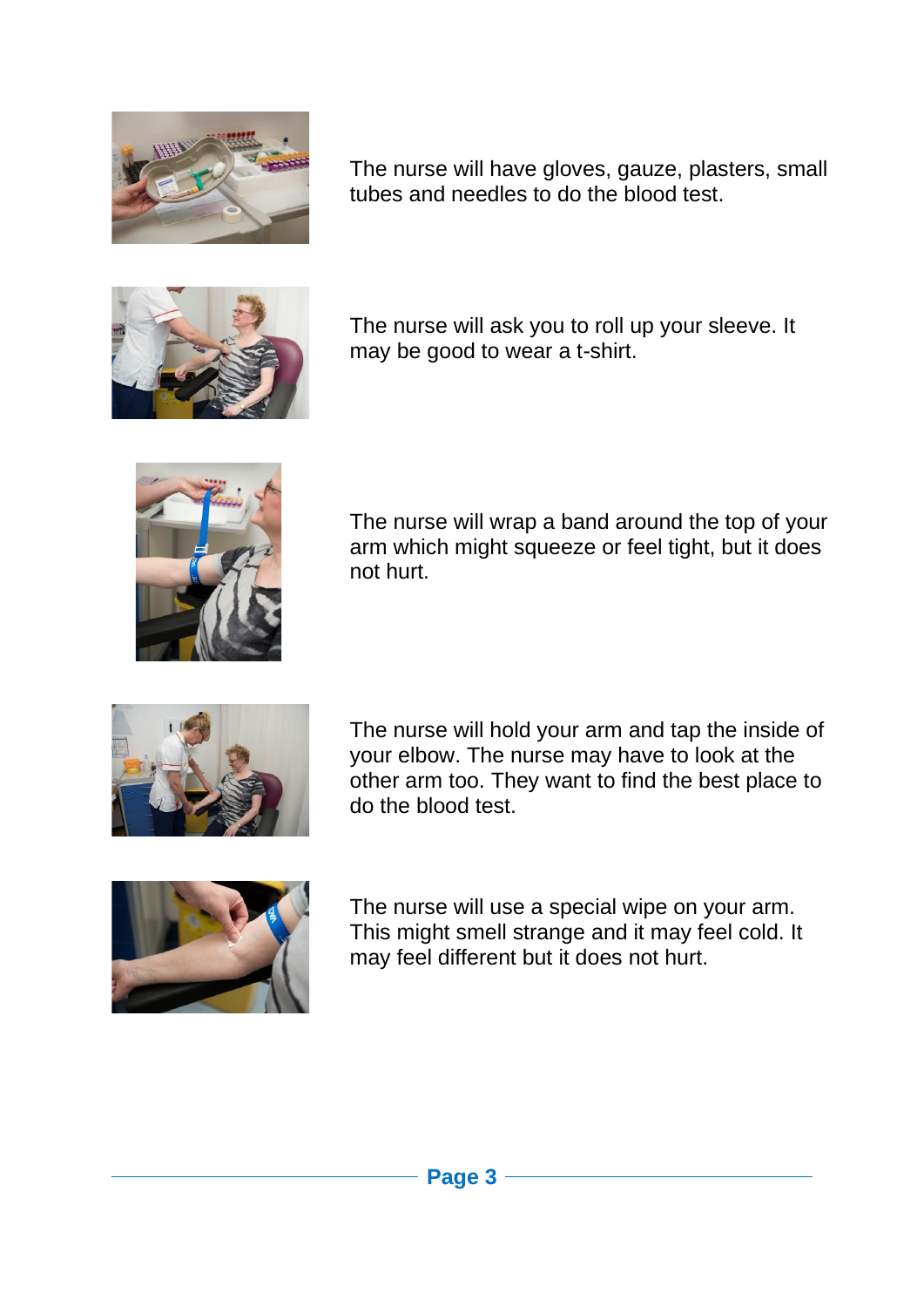

The nurse will have gloves, gauze, plasters, small tubes and needles to do the blood test.



The nurse will ask you to roll up your sleeve. It may be good to wear a t-shirt.



The nurse will wrap a band around the top of your arm which might squeeze or feel tight, but it does not hurt.



The nurse will hold your arm and tap the inside of your elbow. The nurse may have to look at the other arm too. They want to find the best place to do the blood test.



The nurse will use a special wipe on your arm. This might smell strange and it may feel cold. It may feel different but it does not hurt.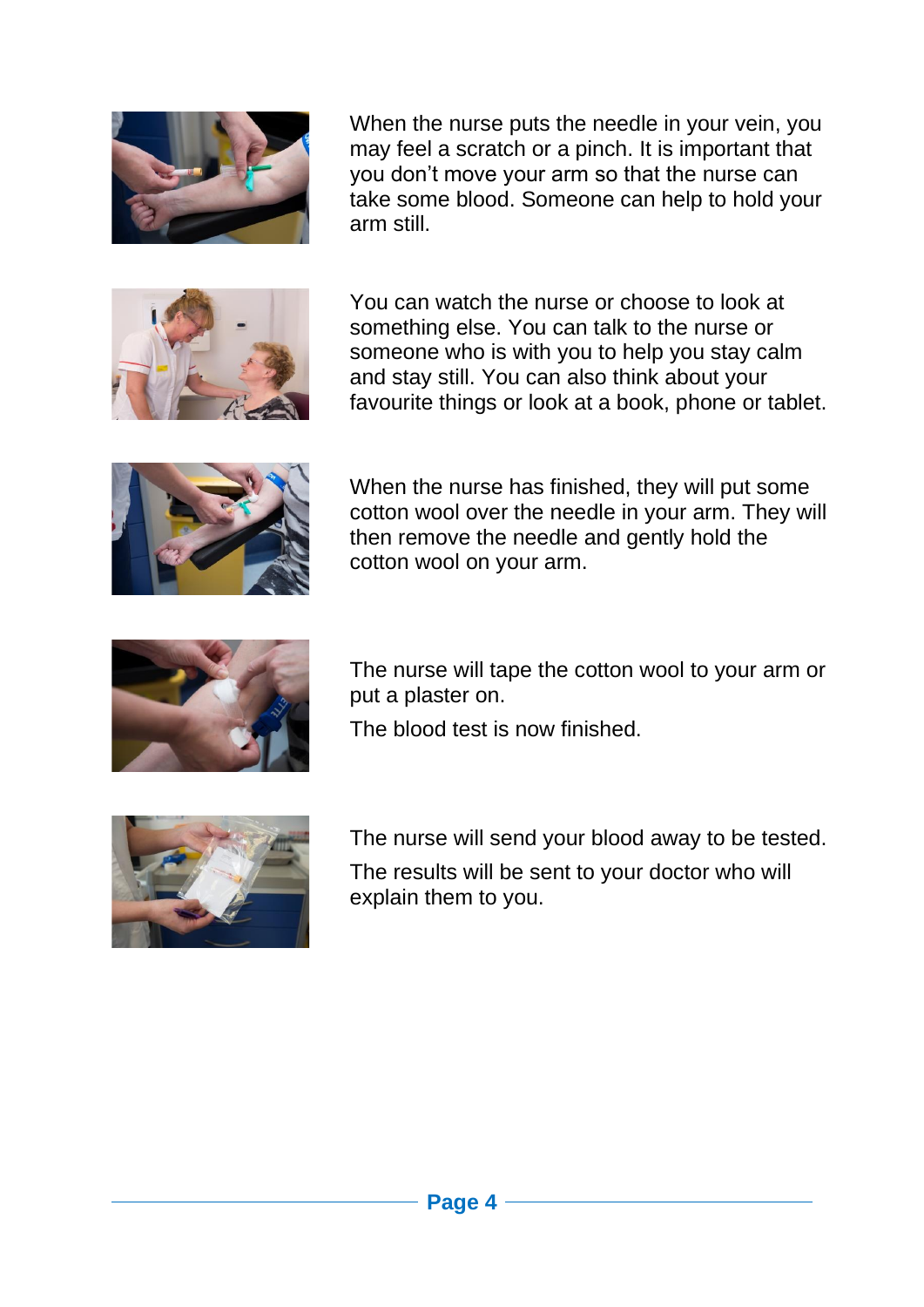

When the nurse puts the needle in your vein, you may feel a scratch or a pinch. It is important that you don't move your arm so that the nurse can take some blood. Someone can help to hold your arm still.



You can watch the nurse or choose to look at something else. You can talk to the nurse or someone who is with you to help you stay calm and stay still. You can also think about your favourite things or look at a book, phone or tablet.



When the nurse has finished, they will put some cotton wool over the needle in your arm. They will then remove the needle and gently hold the cotton wool on your arm.



The nurse will tape the cotton wool to your arm or put a plaster on.

The blood test is now finished.



The nurse will send your blood away to be tested. The results will be sent to your doctor who will explain them to you.